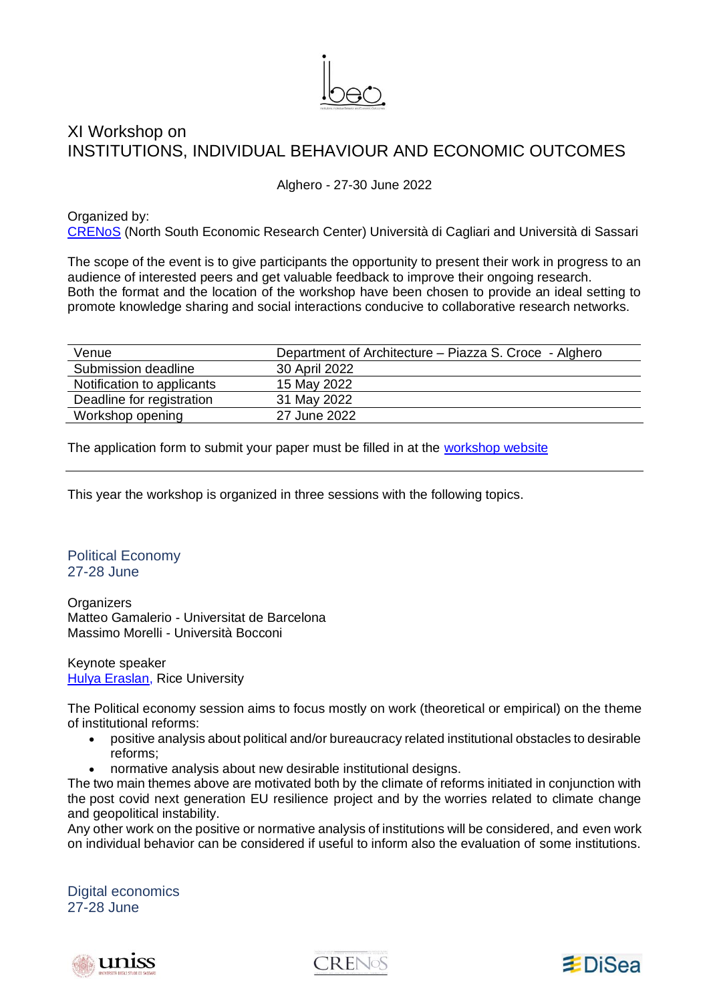

## XI Workshop on INSTITUTIONS, INDIVIDUAL BEHAVIOUR AND ECONOMIC OUTCOMES

Alghero - 27-30 June 2022

Organized by: [CRENoS](http://www.crenos.it/) (North South Economic Research Center) Università di Cagliari and Università di Sassari

The scope of the event is to give participants the opportunity to present their work in progress to an audience of interested peers and get valuable feedback to improve their ongoing research. Both the format and the location of the workshop have been chosen to provide an ideal setting to promote knowledge sharing and social interactions conducive to collaborative research networks.

| Venue                      | Department of Architecture – Piazza S. Croce - Alghero |
|----------------------------|--------------------------------------------------------|
| Submission deadline        | 30 April 2022                                          |
| Notification to applicants | 15 May 2022                                            |
| Deadline for registration  | 31 May 2022                                            |
| Workshop opening           | 27 June 2022                                           |

The application form to submit your paper must be filled in at the [workshop website](https://crenoslef.wixsite.com/ibeo)

This year the workshop is organized in three sessions with the following topics.

Political Economy 27-28 June

**Organizers** Matteo Gamalerio - Universitat de Barcelona Massimo Morelli - Università Bocconi

Keynote speaker [Hulya Eraslan,](https://profiles.rice.edu/faculty/hulya-eraslan) Rice University

The Political economy session aims to focus mostly on work (theoretical or empirical) on the theme of institutional reforms:

- positive analysis about political and/or bureaucracy related institutional obstacles to desirable reforms;
- normative analysis about new desirable institutional designs.

The two main themes above are motivated both by the climate of reforms initiated in conjunction with the post covid next generation EU resilience project and by the worries related to climate change and geopolitical instability.

Any other work on the positive or normative analysis of institutions will be considered, and even work on individual behavior can be considered if useful to inform also the evaluation of some institutions.

Digital economics 27-28 June